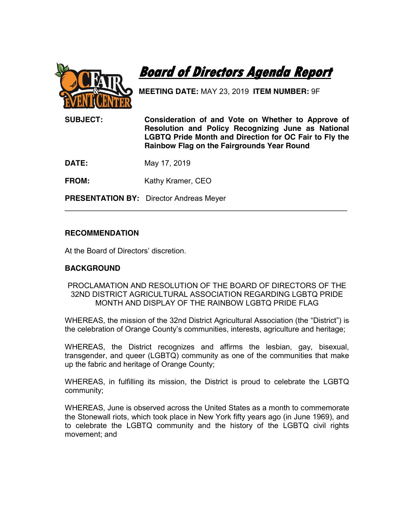

**Board of Directors Agenda Report** 

**MEETING DATE:** MAY 23, 2019 **ITEM NUMBER:** 9F

**SUBJECT: Consideration of and Vote on Whether to Approve of Resolution and Policy Recognizing June as National LGBTQ Pride Month and Direction for OC Fair to Fly the Rainbow Flag on the Fairgrounds Year Round**

**DATE:** May 17, 2019

**FROM:** Kathy Kramer, CEO

**PRESENTATION BY:** Director Andreas Meyer

## **RECOMMENDATION**

At the Board of Directors' discretion.

## **BACKGROUND**

PROCLAMATION AND RESOLUTION OF THE BOARD OF DIRECTORS OF THE 32ND DISTRICT AGRICULTURAL ASSOCIATION REGARDING LGBTQ PRIDE MONTH AND DISPLAY OF THE RAINBOW LGBTQ PRIDE FLAG

\_\_\_\_\_\_\_\_\_\_\_\_\_\_\_\_\_\_\_\_\_\_\_\_\_\_\_\_\_\_\_\_\_\_\_\_\_\_\_\_\_\_\_\_\_\_\_\_\_\_\_\_\_\_\_\_\_\_\_\_\_\_\_\_\_\_\_

WHEREAS, the mission of the 32nd District Agricultural Association (the "District") is the celebration of Orange County's communities, interests, agriculture and heritage;

WHEREAS, the District recognizes and affirms the lesbian, gay, bisexual, transgender, and queer (LGBTQ) community as one of the communities that make up the fabric and heritage of Orange County;

WHEREAS, in fulfilling its mission, the District is proud to celebrate the LGBTQ community;

WHEREAS, June is observed across the United States as a month to commemorate the Stonewall riots, which took place in New York fifty years ago (in June 1969), and to celebrate the LGBTQ community and the history of the LGBTQ civil rights movement; and